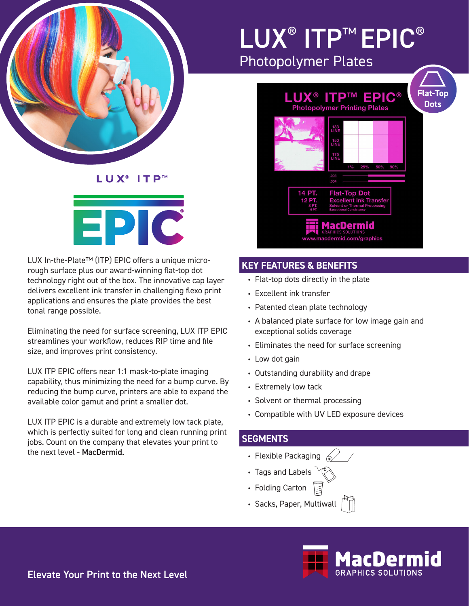

## LUX<sup>®</sup> ITP™ EPIC® Photopolymer Plates



#### **KEY FEATURES & BENEFITS**

- Flat-top dots directly in the plate
- Excellent ink transfer
- Patented clean plate technology
- A balanced plate surface for low image gain and exceptional solids coverage
- Eliminates the need for surface screening
- Low dot gain
- Outstanding durability and drape
- Extremely low tack
- Solvent or thermal processing
- Compatible with UV LED exposure devices

#### **SEGMENTS**

- Flexible Packaging  $\mathbb{Z}$
- Tags and Labels
- Folding Carton
- Sacks, Paper, Multiwall



LUX<sup>®</sup> ITP™



LUX In-the-Plate™ (ITP) EPIC offers a unique microrough surface plus our award-winning flat-top dot technology right out of the box. The innovative cap layer delivers excellent ink transfer in challenging flexo print applications and ensures the plate provides the best tonal range possible.

Eliminating the need for surface screening, LUX ITP EPIC streamlines your workflow, reduces RIP time and file size, and improves print consistency.

LUX ITP EPIC offers near 1:1 mask-to-plate imaging capability, thus minimizing the need for a bump curve. By reducing the bump curve, printers are able to expand the available color gamut and print a smaller dot.

LUX ITP EPIC is a durable and extremely low tack plate, which is perfectly suited for long and clean running print jobs. Count on the company that elevates your print to the next level - MacDermid.

Elevate Your Print to the Next Level